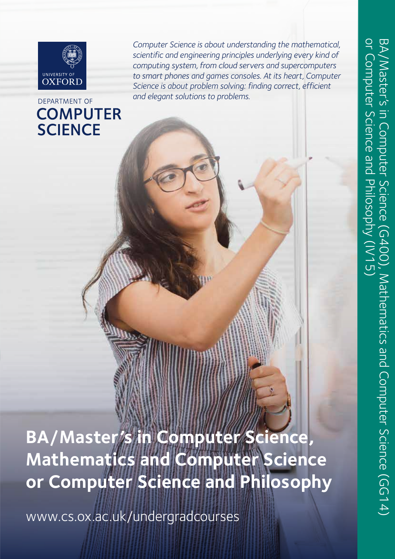

### DEPARTMENT OF **COMPUTER SCIENCE**

*Computer Science is about understanding the mathematical, scientific and engineering principles underlying every kind of computing system, from cloud servers and supercomputers to smart phones and games consoles. At its heart, Computer Science is about problem solving: finding correct, efficient and elegant solutions to problems.*

**BA/Master's in Computer Science, Mathematics and Computer Science or Computer Science and Philosophy**

www.cs.ox.ac.uk/undergradcourses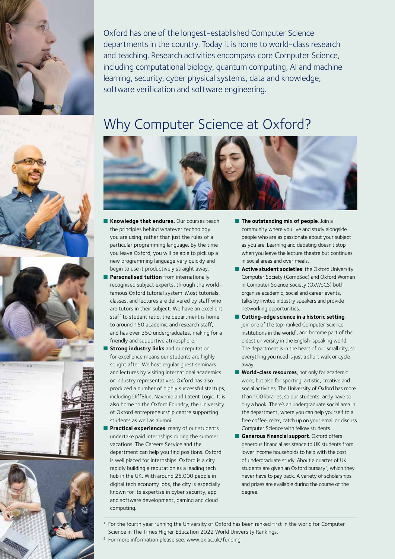

Oxford has one of the longest-established Computer Science departments in the country. Today it is home to world-class research and teaching. Research activities encompass core Computer Science, including computational biology, quantum computing, AI and machine learning, security, cyber physical systems, data and knowledge, software verification and software engineering.

### Why Computer Science at Oxford?



- n **Knowledge that endures.** Our courses teach the principles behind whatever technology you are using, rather than just the rules of a particular programming language. By the time you leave Oxford, you will be able to pick up a new programming language very quickly and begin to use it productively straight away.
- **Personalised tuition** from internationally recognised subject experts, through the worldfamous Oxford tutorial system. Most tutorials, classes, and lectures are delivered by staff who are tutors in their subject. We have an excellent staff to student ratio: the department is home to around 150 academic and research staff and has over 350 undergraduates, making for a friendly and supportive atmosphere.
- **Strong industry links** and our reputation for excellence means our students are highly sought after. We host regular guest seminars and lectures by visiting international academics or industry representatives. Oxford has also produced a number of highly successful startups, including DiffBlue, Navenio and Latent Logic. It is also home to the Oxford Foundry, the University of Oxford entrepreneurship centre supporting students as well as alumni.
- Practical experiences: many of our students undertake paid internships during the summer vacations. The Careers Service and the department can help you find positions. Oxford is well placed for internships. Oxford is a city rapidly building a reputation as a leading tech hub in the UK. With around 25,000 people in digital tech economy jobs, the city is especially known for its expertise in cyber security, app and software development, gaming and cloud computing.
- **n** The outstanding mix of people. Join a community where you live and study alongside people who are as passionate about your subject as you are. Learning and debating doesn't stop when you leave the lecture theatre but continues in social areas and over meals.
- Active student societies: the Oxford University Computer Society (CompSoc) and Oxford Women in Computer Science Society (OxWoCS) both organise academic, social and career events, talks by invited industry speakers and provide networking opportunities.
- **n** Cutting-edge science in a historic setting: join one of the top-ranked Computer Science institutions in the world<sup>1</sup>, and become part of the oldest university in the English-speaking world. The department is in the heart of our small city, so everything you need is just a short walk or cycle away.
- **Norld-class resources**, not only for academic work, but also for sporting, artistic, creative and social activities. The University of Oxford has more than 100 libraries, so our students rarely have to buy a book. There's an undergraduate social area in the department, where you can help yourself to a free coffee, relax, catch up on your email or discuss Computer Science with fellow students.
- **n** Generous financial support. Oxford offers generous financial assistance to UK students from lower income households to help with the cost of undergraduate study. About a quarter of UK students are given an Oxford bursary<sup>2</sup>, which they never have to pay back. A variety of scholarships and prizes are available during the course of the degree.

1 For the fourth year running the University of Oxford has been ranked first in the world for Computer Science in The Times Higher Education 2022 World University Rankings.

2 For more information please see: www.ox.ac.uk/funding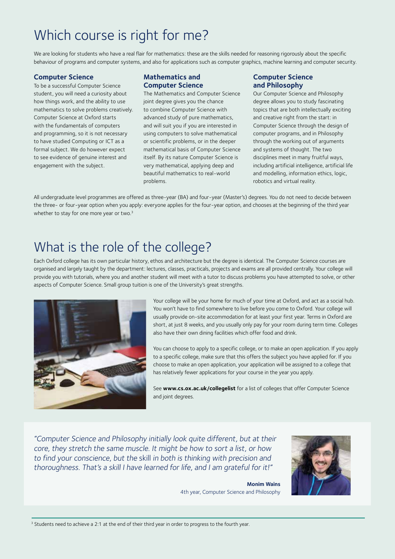# Which course is right for me?

We are looking for students who have a real flair for mathematics: these are the skills needed for reasoning rigorously about the specific behaviour of programs and computer systems, and also for applications such as computer graphics, machine learning and computer security.

#### **Computer Science**

To be a successful Computer Science student, you will need a curiosity about how things work, and the ability to use mathematics to solve problems creatively. Computer Science at Oxford starts with the fundamentals of computers and programming, so it is not necessary to have studied Computing or ICT as a formal subject. We do however expect to see evidence of genuine interest and engagement with the subject.

#### **Mathematics and Computer Science**

The Mathematics and Computer Science joint degree gives you the chance to combine Computer Science with advanced study of pure mathematics, and will suit you if you are interested in using computers to solve mathematical or scientific problems, or in the deeper mathematical basis of Computer Science itself. By its nature Computer Science is very mathematical, applying deep and beautiful mathematics to real-world problems.

#### **Computer Science and Philosophy**

Our Computer Science and Philosophy degree allows you to study fascinating topics that are both intellectually exciting and creative right from the start: in Computer Science through the design of computer programs, and in Philosophy through the working out of arguments and systems of thought. The two disciplines meet in many fruitful ways, including artificial intelligence, artificial life and modelling, information ethics, logic, robotics and virtual reality.

All undergraduate level programmes are offered as three-year (BA) and four-year (Master's) degrees. You do not need to decide between the three- or four-year option when you apply: everyone applies for the four-year option, and chooses at the beginning of the third year whether to stay for one more year or two.<sup>3</sup>

### What is the role of the college?

Each Oxford college has its own particular history, ethos and architecture but the degree is identical. The Computer Science courses are organised and largely taught by the department: lectures, classes, practicals, projects and exams are all provided centrally. Your college will provide you with tutorials, where you and another student will meet with a tutor to discuss problems you have attempted to solve, or other aspects of Computer Science. Small group tuition is one of the University's great strengths.



Your college will be your home for much of your time at Oxford, and act as a social hub. You won't have to find somewhere to live before you come to Oxford. Your college will usually provide on-site accommodation for at least your first year. Terms in Oxford are short, at just 8 weeks, and you usually only pay for your room during term time. Colleges also have their own dining facilities which offer food and drink.

You can choose to apply to a specific college, or to make an open application. If you apply to a specific college, make sure that this offers the subject you have applied for. If you choose to make an open application, your application will be assigned to a college that has relatively fewer applications for your course in the year you apply.

See **www.cs.ox.ac.uk/collegelist** for a list of colleges that offer Computer Science and joint degrees.

"Computer Science and Philosophy initially look quite different, but at their core, they stretch the same muscle. It might be how to sort a list, or how to find your conscience, but the skill in both is thinking with precision and thoroughness. That's a skill I have learned for life, and I am grateful for it!"

> **Monim Wains** 4th year, Computer Science and Philosophy



<sup>3</sup> Students need to achieve a 2:1 at the end of their third year in order to progress to the fourth year.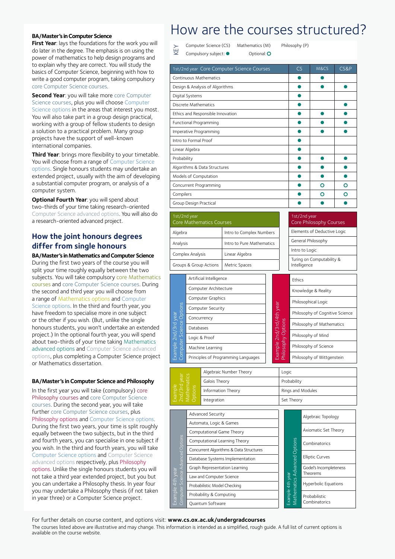#### **BA/Master's in Computer Science**

**First Year**: lays the foundations for the work you will do later in the degree. The emphasis is on using the power of mathematics to help design programs and to explain why they are correct. You will study the basics of Computer Science, beginning with how to write a good computer program, taking compulsory core Computer Science courses.

**Second Year: you will take more core Computer** Science courses, plus you will choose Computer Science options in the areas that interest you most. You will also take part in a group design practical, working with a group of fellow students to design a solution to a practical problem. Many group projects have the support of well-known international companies.

**Third Year**: brings more flexibility to your timetable. You will choose from a range of Computer Science options. Single honours students may undertake an extended project, usually with the aim of developing a substantial computer program, or analysis of a computer system.

**Optional Fourth Year: you will spend about** two-thirds of your time taking research-oriented Computer Science advanced options. You will also do a research-oriented advanced project.

### **How the joint honours degrees differ from single honours**

**BA/Master's in Mathematics and Computer Science**  During the first two years of the course you will split your time roughly equally between the two subjects. You will take compulsory core Mathematics courses and core Computer Science courses. During the second and third year you will choose from a range of Mathematics options and Computer Science options. In the third and fourth year, you have freedom to specialise more in one subject or the other if you wish. (But, unlike the single honours students, you won't undertake an extended project.) In the optional fourth year, you will spend about two-thirds of your time taking Mathematics advanced options and Computer Science advanced options, plus completing a Computer Science project or Mathematics dissertation.

#### **BA/Master's in Computer Science and Philosophy**

In the first year you will take (compulsory) core Philosophy courses and core Computer Science courses. During the second year, you will take further core Computer Science courses, plus Philosophy options and Computer Science options. During the first two years, your time is split roughly equally between the two subjects, but in the third and fourth years, you can specialise in one subject if you wish. In the third and fourth years, you will take Computer Science options and Computer Science advanced options respectively, plus Philosophy options. Unlike the single honours students you will not take a third year extended project, but you but you can undertake a Philosophy thesis. In year four you may undertake a Philosophy thesis (if not taken in year three) or a Computer Science project.

### How are the courses structured?

Computer Science (CS) Mathematics (M) Philosophy (P) KEY Compulsory subject:  $\bullet$  Optional: O

| 1st/2nd year Core Computer Science Courses | $\mathsf{CS}\phantom{0}$ | M&CS | CS&P |
|--------------------------------------------|--------------------------|------|------|
| Continuous Mathematics                     |                          |      |      |
| Design & Analysis of Algorithms            |                          |      |      |
| Digital Systems                            |                          |      |      |
| Discrete Mathematics                       |                          |      |      |
| Ethics and Responsible Innovation          |                          |      |      |
| Functional Programming                     |                          |      |      |
| Imperative Programming                     |                          |      |      |
| Intro to Formal Proof                      |                          |      |      |
| Linear Algebra                             |                          |      |      |
| Probability                                |                          |      |      |
| Algorithms & Data Structures               |                          |      |      |
| Models of Computation                      |                          |      |      |
| Concurrent Programming                     |                          | റ    | റ    |
| Compilers                                  |                          | റ    | റ    |
| Group Design Practical                     |                          |      |      |

| 1st/2nd year<br><b>Core Mathematics Courses</b> |                           | 1st/2nd year<br><b>Core Philosophy Courses</b> |
|-------------------------------------------------|---------------------------|------------------------------------------------|
| Algebra                                         | Intro to Complex Numbers  | Elements of Deductive Logic                    |
| Analysis                                        | Intro to Pure Mathematics | General Philosophy                             |
| Complex Analysis                                | Linear Algebra            | Intro to Logic                                 |
| Groups & Group Actions                          | Metric Spaces             | Turing on Computability &<br>Intelligence      |

| Computer Science Options<br>Example 2nd/3rd year | Artificial Intelligence                           |                                     |                                        | Ethics                          |                            |  |
|--------------------------------------------------|---------------------------------------------------|-------------------------------------|----------------------------------------|---------------------------------|----------------------------|--|
|                                                  |                                                   | Computer Architecture               |                                        |                                 | Knowledge & Reality        |  |
|                                                  | Computer Graphics                                 |                                     | 2nd/3rd/4th year<br>Philosophy Options | Philosophical Logic             |                            |  |
|                                                  | Computer Security<br>Concurrency                  |                                     |                                        | Philosophy of Cognitive Science |                            |  |
|                                                  |                                                   |                                     |                                        |                                 |                            |  |
|                                                  | Databases                                         |                                     |                                        | Philosophy of Mathematics       |                            |  |
|                                                  | Logic & Proof                                     |                                     |                                        |                                 | Philosophy of Mind         |  |
|                                                  | Machine Learning                                  |                                     |                                        | Example                         | Philosophy of Science      |  |
|                                                  |                                                   | Principles of Programming Languages |                                        |                                 | Philosophy of Wittgenstein |  |
|                                                  |                                                   |                                     |                                        |                                 |                            |  |
|                                                  |                                                   | Algebraic Number Theory             |                                        | Logic                           |                            |  |
|                                                  | Example<br>2nd/3rd year<br>Mathematics<br>Options | Galois Theory                       |                                        |                                 | Probability                |  |
|                                                  |                                                   | Information Theory                  |                                        |                                 | Rings and Modules          |  |
|                                                  |                                                   | Integration                         |                                        |                                 | Set Theory                 |  |

| year<br>tics<br>י _<br>lathem<br>ptions<br>호 원<br>⊔<br>2 ਮਹੂ<br>2 ਮਹੂ | Algebraic Number Theory | Logic             |  |
|-----------------------------------------------------------------------|-------------------------|-------------------|--|
|                                                                       | Galois Theory           | Probability       |  |
|                                                                       | Information Theory      | Rings and Modules |  |
|                                                                       | Integration             | Set Theory        |  |

|                                  | <b>Advanced Security</b>                |  |                                     | Algebraic Topology          |
|----------------------------------|-----------------------------------------|--|-------------------------------------|-----------------------------|
|                                  | Automata, Logic & Games                 |  |                                     |                             |
| Science Advanced Options<br>year | Computational Game Theory               |  | <b>Mathematics Advanced Options</b> | Axiomatic Set Theory        |
|                                  | Computational Learning Theory           |  |                                     | Combinatorics               |
|                                  | Concurrent Algorithms & Data Structures |  |                                     |                             |
|                                  | Database Systems Implementation         |  |                                     | <b>Elliptic Curves</b>      |
|                                  | Graph Representation Learning           |  |                                     | Godel's Incompleteness      |
|                                  | Law and Computer Science                |  |                                     | Theorems                    |
| 4th                              | Probabilistic Model Checking            |  | 4th year                            | <b>Hyperbolic Equations</b> |
| Computer<br>$\frac{1}{2}$        | Probability & Computing                 |  | Example                             | Probabilistic               |
|                                  | Quantum Software                        |  |                                     | Combinatorics               |

For further details on course content, and options visit: **www.cs.ox.ac.uk/undergradcourses** 

The courses listed above are illustrative and may change. This information is intended as a simplified, rough guide. A full list of current options is available on the course website.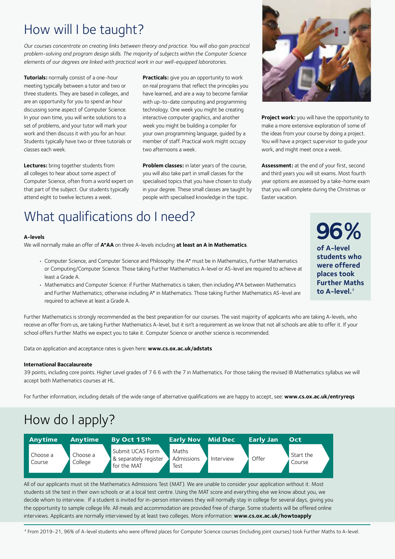### How will I be taught?

*Our courses concentrate on creating links between theory and practice. You will also gain practical problem-solving and program design skills. The majority of subjects within the Computer Science elements of our degrees are linked with practical work in our well-equipped laboratories.*

**Tutorials:** normally consist of a one-hour meeting typically between a tutor and two or three students. They are based in colleges, and are an opportunity for you to spend an hour discussing some aspect of Computer Science. In your own time, you will write solutions to a set of problems, and your tutor will mark your work and then discuss it with you for an hour. Students typically have two or three tutorials or classes each week.

**Lectures:** bring together students from all colleges to hear about some aspect of Computer Science, often from a world expert on that part of the subject. Our students typically attend eight to twelve lectures a week.

**Practicals:** give you an opportunity to work on real programs that reflect the principles you have learned, and are a way to become familiar with up-to-date computing and programming technology. One week you might be creating interactive computer graphics, and another week you might be building a compiler for your own programming language, guided by a member of staff. Practical work might occupy two afternoons a week.

**Problem classes:** in later years of the course, you will also take part in small classes for the specialised topics that you have chosen to study in your degree. These small classes are taught by people with specialised knowledge in the topic.



**Project work:** you will have the opportunity to make a more extensive exploration of some of the ideas from your course by doing a project. You will have a project supervisor to guide your work, and might meet once a week.

**Assessment:** at the end of your first, second and third years you will sit exams. Most fourth year options are assessed by a take-home exam that you will complete during the Christmas or Easter vacation.

# What qualifications do I need?

#### **A-levels**

We will normally make an offer of **A\*AA** on three A-levels including **at least an A in Mathematics**.

- Computer Science, and Computer Science and Philosophy: the A\* must be in Mathematics, Further Mathematics or Computing/Computer Science. Those taking Further Mathematics A-level or AS-level are required to achieve at least a Grade A.
- Mathematics and Computer Science: if Further Mathematics is taken, then including A\*A between Mathematics and Further Mathematics; otherwise including A\* in Mathematics. Those taking Further Mathematics AS-level are required to achieve at least a Grade A.

Further Mathematics is strongly recommended as the best preparation for our courses. The vast majority of applicants who are taking A-levels, who receive an offer from us, are taking Further Mathematics A-level, but it isn't a requirement as we know that not all schools are able to offer it. If your school offers Further Maths we expect you to take it. Computer Science or another science is recommended.

Data on application and acceptance rates is given here: **www.cs.ox.ac.uk/adstats**

#### **International Baccalaureate**

39 points, including core points. Higher Level grades of 7 6 6 with the 7 in Mathematics. For those taking the revised IB Mathematics syllabus we will accept both Mathematics courses at HL.

For further information, including details of the wide range of alternative qualifications we are happy to accept, see: **www.cs.ox.ac.uk/entryreqs** 

# How do I apply?



All of our applicants must sit the Mathematics Admissions Test (MAT). We are unable to consider your application without it. Most students sit the test in their own schools or at a local test centre. Using the MAT score and everything else we know about you, we decide whom to interview. If a student is invited for in-person interviews they will normally stay in college for several days, giving you the opportunity to sample college life. All meals and accommodation are provided free of charge. Some students will be offered online interviews. Applicants are normally interviewed by at least two colleges. More information: **www.cs.ox.ac.uk/howtoapply**

<sup>4</sup> From 2019-21, 96% of A-level students who were offered places for Computer Science courses (including joint courses) took Further Maths to A-level.

**96% of A-level students who were offered places took Further Maths to A-level.**<sup>4</sup>